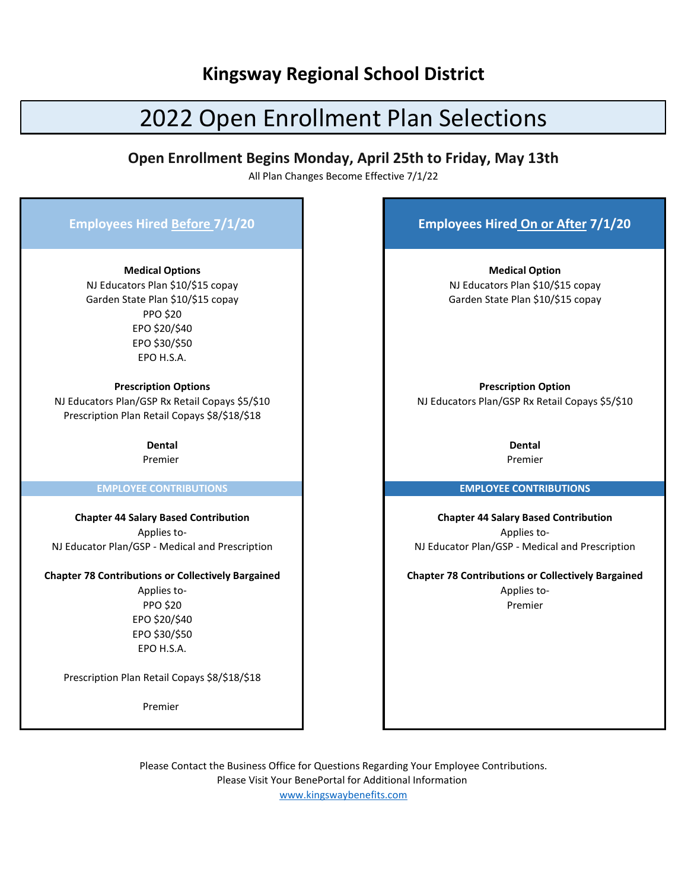## **Kingsway Regional School District**

# 2022 Open Enrollment Plan Selections

## **Open Enrollment Begins Monday, April 25th to Friday, May 13th**

All Plan Changes Become Effective 7/1/22

| <b>Employees Hired Before 7/1/20</b>                                                                                                                                                                    | <b>Employees Hired On or After 7/1/20</b>                                                                                                          |
|---------------------------------------------------------------------------------------------------------------------------------------------------------------------------------------------------------|----------------------------------------------------------------------------------------------------------------------------------------------------|
| <b>Medical Options</b><br>NJ Educators Plan \$10/\$15 copay<br>Garden State Plan \$10/\$15 copay<br><b>PPO \$20</b><br>EPO \$20/\$40<br>EPO \$30/\$50<br>EPO H.S.A.                                     | <b>Medical Option</b><br>NJ Educators Plan \$10/\$15 copay<br>Garden State Plan \$10/\$15 copay                                                    |
| <b>Prescription Options</b><br>NJ Educators Plan/GSP Rx Retail Copays \$5/\$10<br>Prescription Plan Retail Copays \$8/\$18/\$18                                                                         | <b>Prescription Option</b><br>NJ Educators Plan/GSP Rx Retail Copays \$5/\$10                                                                      |
| <b>Dental</b>                                                                                                                                                                                           | <b>Dental</b>                                                                                                                                      |
| Premier                                                                                                                                                                                                 | Premier                                                                                                                                            |
| <b>EMPLOYEE CONTRIBUTIONS</b>                                                                                                                                                                           | <b>EMPLOYEE CONTRIBUTIONS</b>                                                                                                                      |
| <b>Chapter 44 Salary Based Contribution</b><br>Applies to-<br>NJ Educator Plan/GSP - Medical and Prescription                                                                                           | <b>Chapter 44 Salary Based Contribution</b><br>Applies to-<br>NJ Educator Plan/GSP - Medical and Prescription                                      |
| <b>Chapter 78 Contributions or Collectively Bargained</b><br>Applies to-<br><b>PPO \$20</b><br>EPO \$20/\$40<br>EPO \$30/\$50<br>EPO H.S.A.<br>Prescription Plan Retail Copays \$8/\$18/\$18<br>Premier | <b>Chapter 78 Contributions or Collectively Bargained</b><br>Applies to-<br>Premier                                                                |
|                                                                                                                                                                                                         | Please Contact the Business Office for Questions Regarding Your Employee Contributions.<br>Please Visit Your BenePortal for Additional Information |